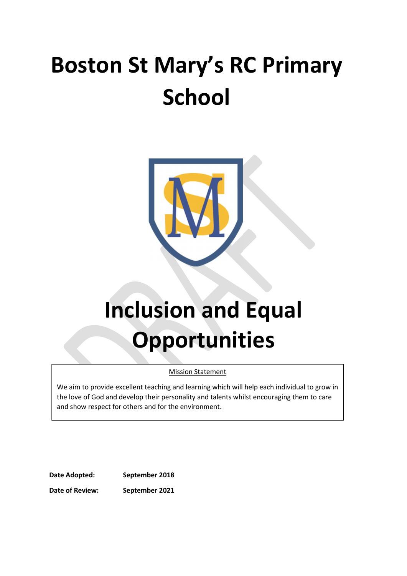# Boston St Mary's RC Primary School



# Inclusion and Equal **Opportunities**

# Mission Statement

We aim to provide excellent teaching and learning which will help each individual to grow in the love of God and develop their personality and talents whilst encouraging them to care and show respect for others and for the environment.

Date Adopted: September 2018

Date of Review: September 2021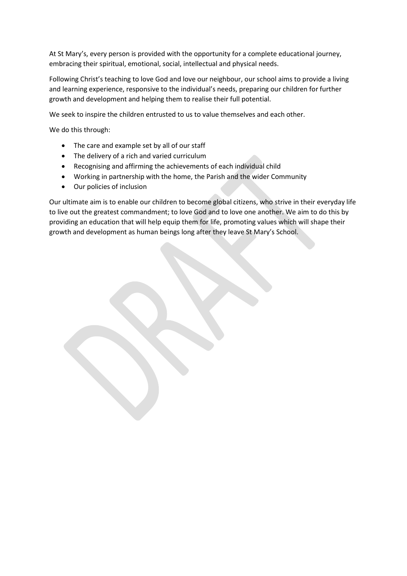At St Mary's, every person is provided with the opportunity for a complete educational journey, embracing their spiritual, emotional, social, intellectual and physical needs.

Following Christ's teaching to love God and love our neighbour, our school aims to provide a living and learning experience, responsive to the individual's needs, preparing our children for further growth and development and helping them to realise their full potential.

We seek to inspire the children entrusted to us to value themselves and each other.

We do this through:

- The care and example set by all of our staff
- The delivery of a rich and varied curriculum
- Recognising and affirming the achievements of each individual child
- Working in partnership with the home, the Parish and the wider Community
- Our policies of inclusion

Our ultimate aim is to enable our children to become global citizens, who strive in their everyday life to live out the greatest commandment; to love God and to love one another. We aim to do this by providing an education that will help equip them for life, promoting values which will shape their growth and development as human beings long after they leave St Mary's School.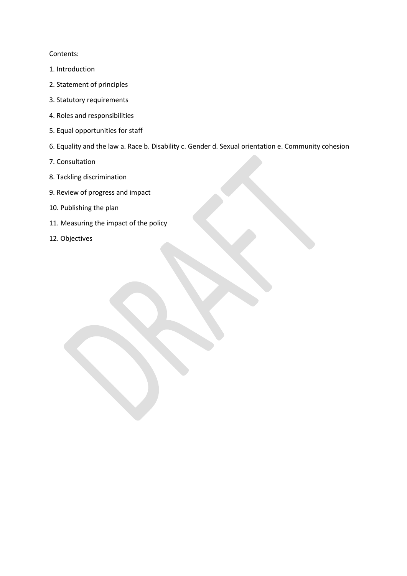Contents:

- 1. Introduction
- 2. Statement of principles
- 3. Statutory requirements
- 4. Roles and responsibilities
- 5. Equal opportunities for staff
- 6. Equality and the law a. Race b. Disability c. Gender d. Sexual orientation e. Community cohesion
- 7. Consultation
- 8. Tackling discrimination
- 9. Review of progress and impact
- 10. Publishing the plan
- 11. Measuring the impact of the policy
- 12. Objectives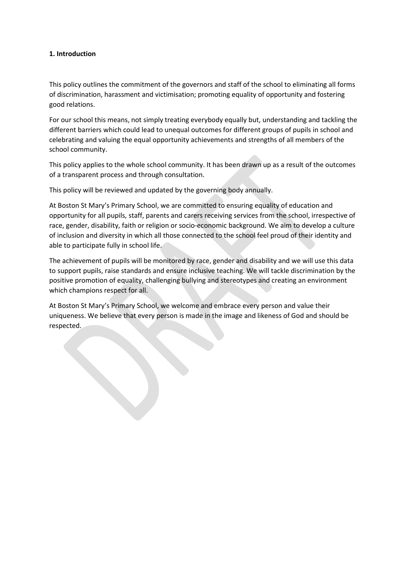#### 1. Introduction

This policy outlines the commitment of the governors and staff of the school to eliminating all forms of discrimination, harassment and victimisation; promoting equality of opportunity and fostering good relations.

For our school this means, not simply treating everybody equally but, understanding and tackling the different barriers which could lead to unequal outcomes for different groups of pupils in school and celebrating and valuing the equal opportunity achievements and strengths of all members of the school community.

This policy applies to the whole school community. It has been drawn up as a result of the outcomes of a transparent process and through consultation.

This policy will be reviewed and updated by the governing body annually.

At Boston St Mary's Primary School, we are committed to ensuring equality of education and opportunity for all pupils, staff, parents and carers receiving services from the school, irrespective of race, gender, disability, faith or religion or socio-economic background. We aim to develop a culture of inclusion and diversity in which all those connected to the school feel proud of their identity and able to participate fully in school life.

The achievement of pupils will be monitored by race, gender and disability and we will use this data to support pupils, raise standards and ensure inclusive teaching. We will tackle discrimination by the positive promotion of equality, challenging bullying and stereotypes and creating an environment which champions respect for all.

At Boston St Mary's Primary School, we welcome and embrace every person and value their uniqueness. We believe that every person is made in the image and likeness of God and should be respected.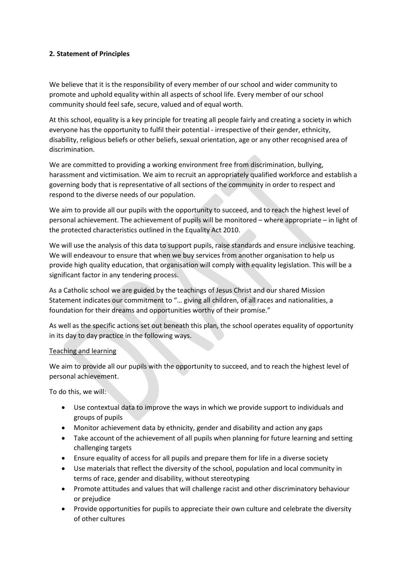# 2. Statement of Principles

We believe that it is the responsibility of every member of our school and wider community to promote and uphold equality within all aspects of school life. Every member of our school community should feel safe, secure, valued and of equal worth.

At this school, equality is a key principle for treating all people fairly and creating a society in which everyone has the opportunity to fulfil their potential - irrespective of their gender, ethnicity, disability, religious beliefs or other beliefs, sexual orientation, age or any other recognised area of discrimination.

We are committed to providing a working environment free from discrimination, bullying, harassment and victimisation. We aim to recruit an appropriately qualified workforce and establish a governing body that is representative of all sections of the community in order to respect and respond to the diverse needs of our population.

We aim to provide all our pupils with the opportunity to succeed, and to reach the highest level of personal achievement. The achievement of pupils will be monitored – where appropriate – in light of the protected characteristics outlined in the Equality Act 2010.

We will use the analysis of this data to support pupils, raise standards and ensure inclusive teaching. We will endeavour to ensure that when we buy services from another organisation to help us provide high quality education, that organisation will comply with equality legislation. This will be a significant factor in any tendering process.

As a Catholic school we are guided by the teachings of Jesus Christ and our shared Mission Statement indicates our commitment to "… giving all children, of all races and nationalities, a foundation for their dreams and opportunities worthy of their promise."

As well as the specific actions set out beneath this plan, the school operates equality of opportunity in its day to day practice in the following ways.

# Teaching and learning

We aim to provide all our pupils with the opportunity to succeed, and to reach the highest level of personal achievement.

To do this, we will:

- Use contextual data to improve the ways in which we provide support to individuals and groups of pupils
- Monitor achievement data by ethnicity, gender and disability and action any gaps
- Take account of the achievement of all pupils when planning for future learning and setting challenging targets
- Ensure equality of access for all pupils and prepare them for life in a diverse society
- Use materials that reflect the diversity of the school, population and local community in terms of race, gender and disability, without stereotyping
- Promote attitudes and values that will challenge racist and other discriminatory behaviour or prejudice
- Provide opportunities for pupils to appreciate their own culture and celebrate the diversity of other cultures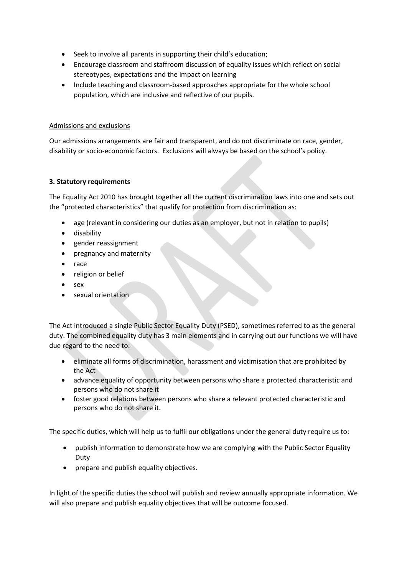- Seek to involve all parents in supporting their child's education;
- Encourage classroom and staffroom discussion of equality issues which reflect on social stereotypes, expectations and the impact on learning
- Include teaching and classroom-based approaches appropriate for the whole school population, which are inclusive and reflective of our pupils.

#### Admissions and exclusions

Our admissions arrangements are fair and transparent, and do not discriminate on race, gender, disability or socio-economic factors. Exclusions will always be based on the school's policy.

#### 3. Statutory requirements

The Equality Act 2010 has brought together all the current discrimination laws into one and sets out the "protected characteristics" that qualify for protection from discrimination as:

- age (relevant in considering our duties as an employer, but not in relation to pupils)
- disability
- gender reassignment
- pregnancy and maternity
- race
- religion or belief
- sex
- **•** sexual orientation

The Act introduced a single Public Sector Equality Duty (PSED), sometimes referred to as the general duty. The combined equality duty has 3 main elements and in carrying out our functions we will have due regard to the need to:

- eliminate all forms of discrimination, harassment and victimisation that are prohibited by the Act
- advance equality of opportunity between persons who share a protected characteristic and persons who do not share it
- foster good relations between persons who share a relevant protected characteristic and persons who do not share it.

The specific duties, which will help us to fulfil our obligations under the general duty require us to:

- publish information to demonstrate how we are complying with the Public Sector Equality Duty
- prepare and publish equality objectives.

In light of the specific duties the school will publish and review annually appropriate information. We will also prepare and publish equality objectives that will be outcome focused.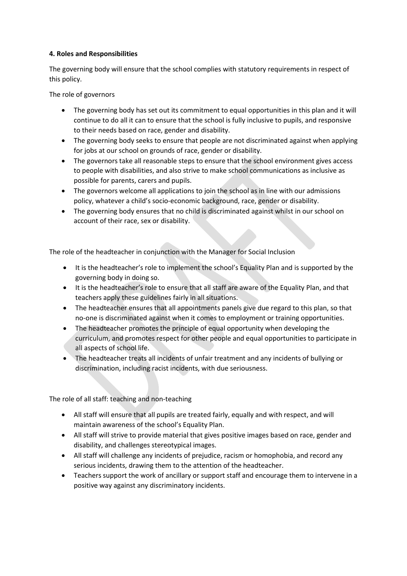# 4. Roles and Responsibilities

The governing body will ensure that the school complies with statutory requirements in respect of this policy.

The role of governors

- The governing body has set out its commitment to equal opportunities in this plan and it will continue to do all it can to ensure that the school is fully inclusive to pupils, and responsive to their needs based on race, gender and disability.
- The governing body seeks to ensure that people are not discriminated against when applying for jobs at our school on grounds of race, gender or disability.
- The governors take all reasonable steps to ensure that the school environment gives access to people with disabilities, and also strive to make school communications as inclusive as possible for parents, carers and pupils.
- The governors welcome all applications to join the school as in line with our admissions policy, whatever a child's socio-economic background, race, gender or disability.
- The governing body ensures that no child is discriminated against whilst in our school on account of their race, sex or disability.

The role of the headteacher in conjunction with the Manager for Social Inclusion

- It is the headteacher's role to implement the school's Equality Plan and is supported by the governing body in doing so.
- It is the headteacher's role to ensure that all staff are aware of the Equality Plan, and that teachers apply these guidelines fairly in all situations.
- The headteacher ensures that all appointments panels give due regard to this plan, so that no-one is discriminated against when it comes to employment or training opportunities.
- The headteacher promotes the principle of equal opportunity when developing the curriculum, and promotes respect for other people and equal opportunities to participate in all aspects of school life.
- The headteacher treats all incidents of unfair treatment and any incidents of bullying or discrimination, including racist incidents, with due seriousness.

The role of all staff: teaching and non-teaching

- All staff will ensure that all pupils are treated fairly, equally and with respect, and will maintain awareness of the school's Equality Plan.
- All staff will strive to provide material that gives positive images based on race, gender and disability, and challenges stereotypical images.
- All staff will challenge any incidents of prejudice, racism or homophobia, and record any serious incidents, drawing them to the attention of the headteacher.
- Teachers support the work of ancillary or support staff and encourage them to intervene in a positive way against any discriminatory incidents.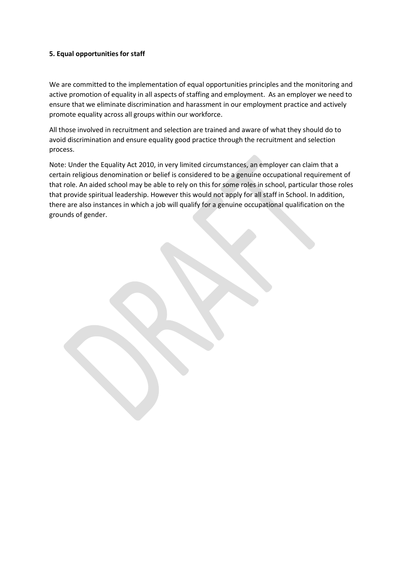#### 5. Equal opportunities for staff

We are committed to the implementation of equal opportunities principles and the monitoring and active promotion of equality in all aspects of staffing and employment. As an employer we need to ensure that we eliminate discrimination and harassment in our employment practice and actively promote equality across all groups within our workforce.

All those involved in recruitment and selection are trained and aware of what they should do to avoid discrimination and ensure equality good practice through the recruitment and selection process.

Note: Under the Equality Act 2010, in very limited circumstances, an employer can claim that a certain religious denomination or belief is considered to be a genuine occupational requirement of that role. An aided school may be able to rely on this for some roles in school, particular those roles that provide spiritual leadership. However this would not apply for all staff in School. In addition, there are also instances in which a job will qualify for a genuine occupational qualification on the grounds of gender.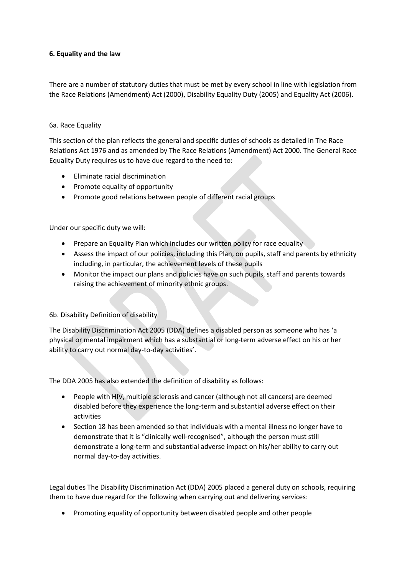#### 6. Equality and the law

There are a number of statutory duties that must be met by every school in line with legislation from the Race Relations (Amendment) Act (2000), Disability Equality Duty (2005) and Equality Act (2006).

#### 6a. Race Equality

This section of the plan reflects the general and specific duties of schools as detailed in The Race Relations Act 1976 and as amended by The Race Relations (Amendment) Act 2000. The General Race Equality Duty requires us to have due regard to the need to:

- Eliminate racial discrimination
- Promote equality of opportunity
- Promote good relations between people of different racial groups

Under our specific duty we will:

- Prepare an Equality Plan which includes our written policy for race equality
- Assess the impact of our policies, including this Plan, on pupils, staff and parents by ethnicity including, in particular, the achievement levels of these pupils
- Monitor the impact our plans and policies have on such pupils, staff and parents towards raising the achievement of minority ethnic groups.

#### 6b. Disability Definition of disability

The Disability Discrimination Act 2005 (DDA) defines a disabled person as someone who has 'a physical or mental impairment which has a substantial or long-term adverse effect on his or her ability to carry out normal day-to-day activities'.

The DDA 2005 has also extended the definition of disability as follows:

- People with HIV, multiple sclerosis and cancer (although not all cancers) are deemed disabled before they experience the long-term and substantial adverse effect on their activities
- Section 18 has been amended so that individuals with a mental illness no longer have to demonstrate that it is "clinically well-recognised", although the person must still demonstrate a long-term and substantial adverse impact on his/her ability to carry out normal day-to-day activities.

Legal duties The Disability Discrimination Act (DDA) 2005 placed a general duty on schools, requiring them to have due regard for the following when carrying out and delivering services:

Promoting equality of opportunity between disabled people and other people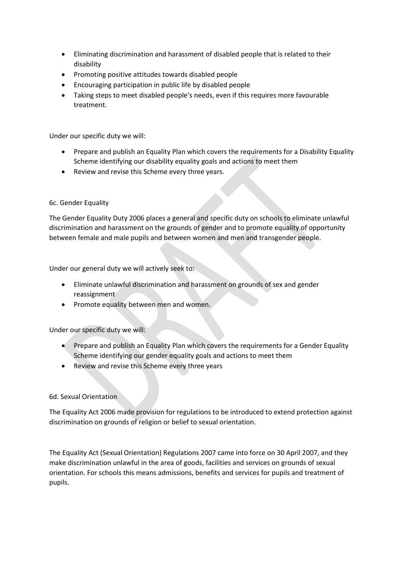- Eliminating discrimination and harassment of disabled people that is related to their disability
- Promoting positive attitudes towards disabled people
- Encouraging participation in public life by disabled people
- Taking steps to meet disabled people's needs, even if this requires more favourable treatment.

Under our specific duty we will:

- Prepare and publish an Equality Plan which covers the requirements for a Disability Equality Scheme identifying our disability equality goals and actions to meet them
- Review and revise this Scheme every three years.

# 6c. Gender Equality

The Gender Equality Duty 2006 places a general and specific duty on schools to eliminate unlawful discrimination and harassment on the grounds of gender and to promote equality of opportunity between female and male pupils and between women and men and transgender people.

Under our general duty we will actively seek to:

- Eliminate unlawful discrimination and harassment on grounds of sex and gender reassignment
- Promote equality between men and women.

Under our specific duty we will:

- Prepare and publish an Equality Plan which covers the requirements for a Gender Equality Scheme identifying our gender equality goals and actions to meet them
- Review and revise this Scheme every three years

# 6d. Sexual Orientation

The Equality Act 2006 made provision for regulations to be introduced to extend protection against discrimination on grounds of religion or belief to sexual orientation.

The Equality Act (Sexual Orientation) Regulations 2007 came into force on 30 April 2007, and they make discrimination unlawful in the area of goods, facilities and services on grounds of sexual orientation. For schools this means admissions, benefits and services for pupils and treatment of pupils.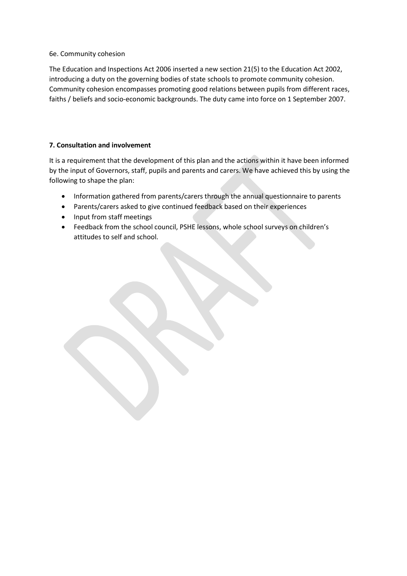#### 6e. Community cohesion

The Education and Inspections Act 2006 inserted a new section 21(5) to the Education Act 2002, introducing a duty on the governing bodies of state schools to promote community cohesion. Community cohesion encompasses promoting good relations between pupils from different races, faiths / beliefs and socio-economic backgrounds. The duty came into force on 1 September 2007.

# 7. Consultation and involvement

It is a requirement that the development of this plan and the actions within it have been informed by the input of Governors, staff, pupils and parents and carers. We have achieved this by using the following to shape the plan:

- Information gathered from parents/carers through the annual questionnaire to parents
- Parents/carers asked to give continued feedback based on their experiences
- Input from staff meetings
- Feedback from the school council, PSHE lessons, whole school surveys on children's attitudes to self and school.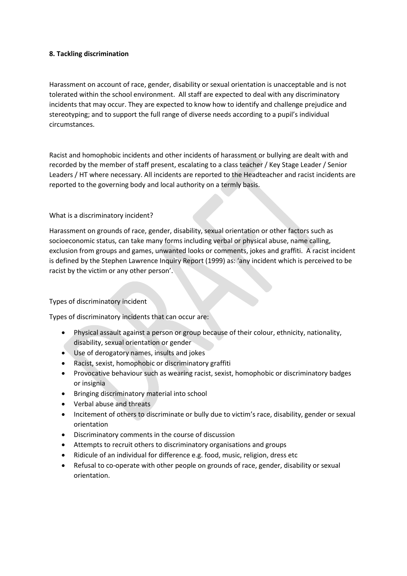#### 8. Tackling discrimination

Harassment on account of race, gender, disability or sexual orientation is unacceptable and is not tolerated within the school environment. All staff are expected to deal with any discriminatory incidents that may occur. They are expected to know how to identify and challenge prejudice and stereotyping; and to support the full range of diverse needs according to a pupil's individual circumstances.

Racist and homophobic incidents and other incidents of harassment or bullying are dealt with and recorded by the member of staff present, escalating to a class teacher / Key Stage Leader / Senior Leaders / HT where necessary. All incidents are reported to the Headteacher and racist incidents are reported to the governing body and local authority on a termly basis.

#### What is a discriminatory incident?

Harassment on grounds of race, gender, disability, sexual orientation or other factors such as socioeconomic status, can take many forms including verbal or physical abuse, name calling, exclusion from groups and games, unwanted looks or comments, jokes and graffiti. A racist incident is defined by the Stephen Lawrence Inquiry Report (1999) as: 'any incident which is perceived to be racist by the victim or any other person'.

# Types of discriminatory incident

Types of discriminatory incidents that can occur are:

- Physical assault against a person or group because of their colour, ethnicity, nationality, disability, sexual orientation or gender
- Use of derogatory names, insults and jokes
- Racist, sexist, homophobic or discriminatory graffiti
- Provocative behaviour such as wearing racist, sexist, homophobic or discriminatory badges or insignia
- Bringing discriminatory material into school
- Verbal abuse and threats
- Incitement of others to discriminate or bully due to victim's race, disability, gender or sexual orientation
- Discriminatory comments in the course of discussion
- Attempts to recruit others to discriminatory organisations and groups
- Ridicule of an individual for difference e.g. food, music, religion, dress etc
- Refusal to co-operate with other people on grounds of race, gender, disability or sexual orientation.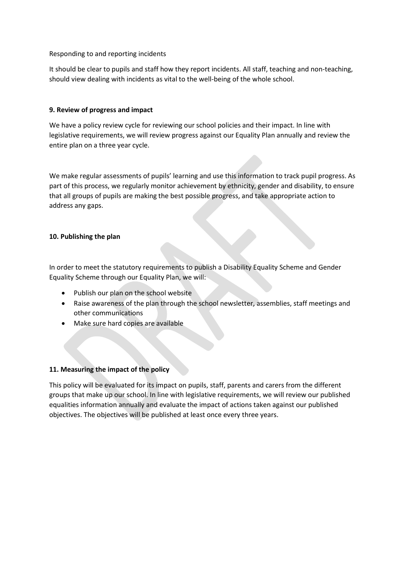Responding to and reporting incidents

It should be clear to pupils and staff how they report incidents. All staff, teaching and non-teaching, should view dealing with incidents as vital to the well-being of the whole school.

# 9. Review of progress and impact

We have a policy review cycle for reviewing our school policies and their impact. In line with legislative requirements, we will review progress against our Equality Plan annually and review the entire plan on a three year cycle.

We make regular assessments of pupils' learning and use this information to track pupil progress. As part of this process, we regularly monitor achievement by ethnicity, gender and disability, to ensure that all groups of pupils are making the best possible progress, and take appropriate action to address any gaps.

# 10. Publishing the plan

In order to meet the statutory requirements to publish a Disability Equality Scheme and Gender Equality Scheme through our Equality Plan, we will:

- Publish our plan on the school website
- Raise awareness of the plan through the school newsletter, assemblies, staff meetings and other communications
- Make sure hard copies are available

# 11. Measuring the impact of the policy

This policy will be evaluated for its impact on pupils, staff, parents and carers from the different groups that make up our school. In line with legislative requirements, we will review our published equalities information annually and evaluate the impact of actions taken against our published objectives. The objectives will be published at least once every three years.